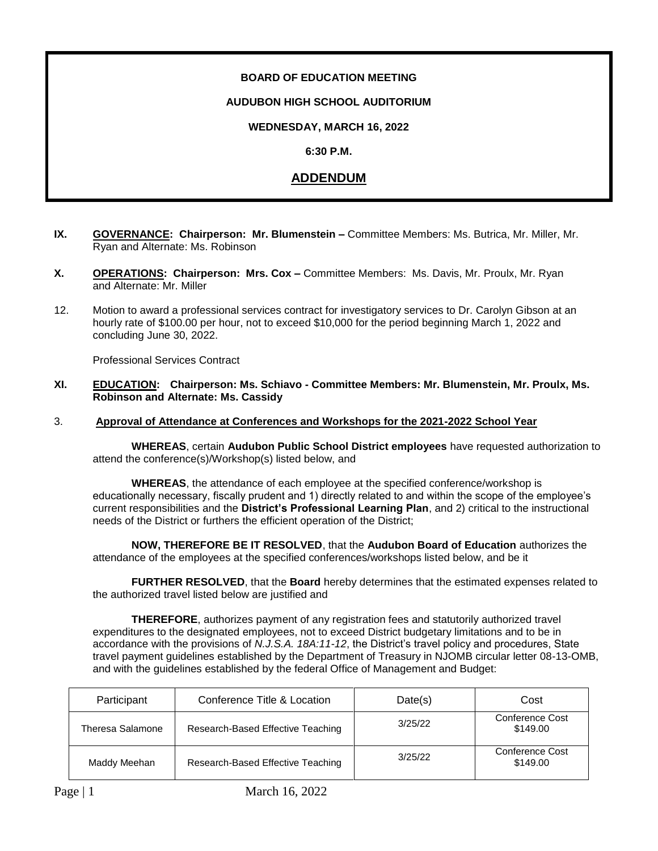# **BOARD OF EDUCATION MEETING**

## **AUDUBON HIGH SCHOOL AUDITORIUM**

# **WEDNESDAY, MARCH 16, 2022**

## **6:30 P.M.**

# **ADDENDUM**

- **IX. GOVERNANCE: Chairperson: Mr. Blumenstein –** Committee Members: Ms. Butrica, Mr. Miller, Mr. Ryan and Alternate: Ms. Robinson
- **X. OPERATIONS: Chairperson: Mrs. Cox –** Committee Members: Ms. Davis, Mr. Proulx, Mr. Ryan and Alternate: Mr. Miller
- 12. Motion to award a professional services contract for investigatory services to Dr. Carolyn Gibson at an hourly rate of \$100.00 per hour, not to exceed \$10,000 for the period beginning March 1, 2022 and concluding June 30, 2022.

Professional Services Contract

**XI. EDUCATION: Chairperson: Ms. Schiavo - Committee Members: Mr. Blumenstein, Mr. Proulx, Ms. Robinson and Alternate: Ms. Cassidy**

#### 3. **Approval of Attendance at Conferences and Workshops for the 2021-2022 School Year**

 **WHEREAS**, certain **Audubon Public School District employees** have requested authorization to attend the conference(s)/Workshop(s) listed below, and

**WHEREAS**, the attendance of each employee at the specified conference/workshop is educationally necessary, fiscally prudent and 1) directly related to and within the scope of the employee's current responsibilities and the **District's Professional Learning Plan**, and 2) critical to the instructional needs of the District or furthers the efficient operation of the District;

**NOW, THEREFORE BE IT RESOLVED**, that the **Audubon Board of Education** authorizes the attendance of the employees at the specified conferences/workshops listed below, and be it

**FURTHER RESOLVED**, that the **Board** hereby determines that the estimated expenses related to the authorized travel listed below are justified and

**THEREFORE**, authorizes payment of any registration fees and statutorily authorized travel expenditures to the designated employees, not to exceed District budgetary limitations and to be in accordance with the provisions of *N.J.S.A. 18A:11-12*, the District's travel policy and procedures, State travel payment guidelines established by the Department of Treasury in NJOMB circular letter 08-13-OMB, and with the guidelines established by the federal Office of Management and Budget:

| Participant      | Conference Title & Location       | Date(s) | Cost                        |
|------------------|-----------------------------------|---------|-----------------------------|
| Theresa Salamone | Research-Based Effective Teaching | 3/25/22 | Conference Cost<br>\$149.00 |
| Maddy Meehan     | Research-Based Effective Teaching | 3/25/22 | Conference Cost<br>\$149.00 |